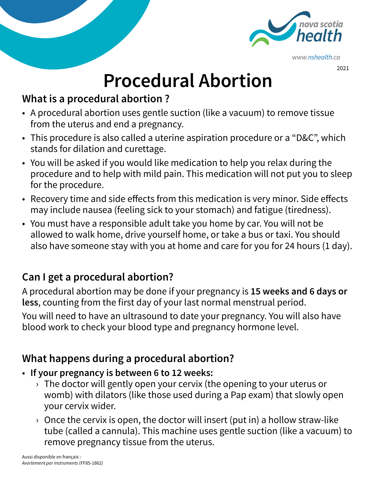

2021 *www.nshealth.ca* 

# **Procedural Abortion**

#### **What is a procedural abortion ?**

- A procedural abortion uses gentle suction (like a vacuum) to remove tissue from the uterus and end a pregnancy.
- This procedure is also called a uterine aspiration procedure or a "D&C", which stands for dilation and curettage.
- You will be asked if you would like medication to help you relax during the procedure and to help with mild pain. This medication will not put you to sleep for the procedure.
- Recovery time and side effects from this medication is very minor. Side effects may include nausea (feeling sick to your stomach) and fatigue (tiredness).
- You must have a responsible adult take you home by car. You will not be allowed to walk home, drive yourself home, or take a bus or taxi. You should also have someone stay with you at home and care for you for 24 hours (1 day).

#### **Can I get a procedural abortion?**

A procedural abortion may be done if your pregnancy is **15 weeks and 6 days or less**, counting from the first day of your last normal menstrual period.

You will need to have an ultrasound to date your pregnancy. You will also have blood work to check your blood type and pregnancy hormone level.

#### **What happens during a procedural abortion?**

- **If your pregnancy is between 6 to 12 weeks:**
	- $\rightarrow$  The doctor will gently open your cervix (the opening to your uterus or womb) with dilators (like those used during a Pap exam) that slowly open your cervix wider.
	- $\rightarrow$  Once the cervix is open, the doctor will insert (put in) a hollow straw-like tube (called a cannula). This machine uses gentle suction (like a vacuum) to remove pregnancy tissue from the uterus.